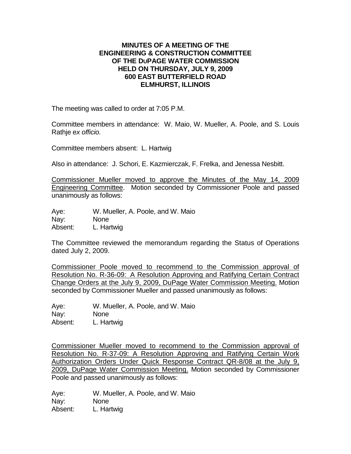## **MINUTES OF A MEETING OF THE ENGINEERING & CONSTRUCTION COMMITTEE OF THE DUPAGE WATER COMMISSION HELD ON THURSDAY, JULY 9, 2009 600 EAST BUTTERFIELD ROAD ELMHURST, ILLINOIS**

The meeting was called to order at 7:05 P.M.

Committee members in attendance: W. Maio, W. Mueller, A. Poole, and S. Louis Rathje e*x officio.*

Committee members absent: L. Hartwig

Also in attendance: J. Schori, E. Kazmierczak, F. Frelka, and Jenessa Nesbitt.

Commissioner Mueller moved to approve the Minutes of the May 14, 2009 Engineering Committee. Motion seconded by Commissioner Poole and passed unanimously as follows:

Aye: W. Mueller, A. Poole, and W. Maio Nay: None Absent: L. Hartwig

The Committee reviewed the memorandum regarding the Status of Operations dated July 2, 2009.

Commissioner Poole moved to recommend to the Commission approval of Resolution No. R-36-09: A Resolution Approving and Ratifying Certain Contract Change Orders at the July 9, 2009, DuPage Water Commission Meeting. Motion seconded by Commissioner Mueller and passed unanimously as follows:

Aye: W. Mueller, A. Poole, and W. Maio Nay: None Absent: L. Hartwig

Commissioner Mueller moved to recommend to the Commission approval of Resolution No. R-37-09: A Resolution Approving and Ratifying Certain Work Authorization Orders Under Quick Response Contract QR-8/08 at the July 9, 2009, DuPage Water Commission Meeting. Motion seconded by Commissioner Poole and passed unanimously as follows:

Aye: W. Mueller, A. Poole, and W. Maio Nay: None Absent: L. Hartwig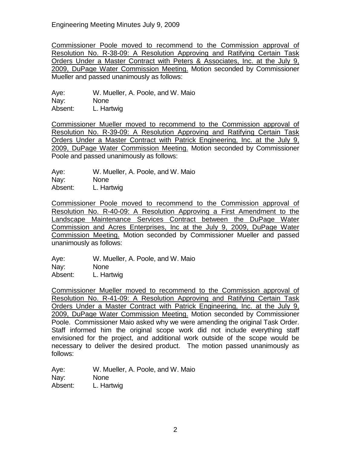Engineering Meeting Minutes July 9, 2009

Commissioner Poole moved to recommend to the Commission approval of Resolution No. R-38-09: A Resolution Approving and Ratifying Certain Task Orders Under a Master Contract with Peters & Associates, Inc. at the July 9, 2009, DuPage Water Commission Meeting. Motion seconded by Commissioner Mueller and passed unanimously as follows:

Aye: W. Mueller, A. Poole, and W. Maio Nay: None Absent: L. Hartwig

Commissioner Mueller moved to recommend to the Commission approval of Resolution No. R-39-09: A Resolution Approving and Ratifying Certain Task Orders Under a Master Contract with Patrick Engineering, Inc. at the July 9, 2009, DuPage Water Commission Meeting. Motion seconded by Commissioner Poole and passed unanimously as follows:

Aye: W. Mueller, A. Poole, and W. Maio Nay: None

Absent: L. Hartwig

Commissioner Poole moved to recommend to the Commission approval of Resolution No. R-40-09: A Resolution Approving a First Amendment to the Landscape Maintenance Services Contract between the DuPage Water Commission and Acres Enterprises, Inc at the July 9, 2009, DuPage Water Commission Meeting. Motion seconded by Commissioner Mueller and passed unanimously as follows:

Aye: W. Mueller, A. Poole, and W. Maio Nay: None Absent: L. Hartwig

Commissioner Mueller moved to recommend to the Commission approval of Resolution No. R-41-09: A Resolution Approving and Ratifying Certain Task Orders Under a Master Contract with Patrick Engineering, Inc. at the July 9, 2009, DuPage Water Commission Meeting. Motion seconded by Commissioner Poole. Commissioner Maio asked why we were amending the original Task Order. Staff informed him the original scope work did not include everything staff envisioned for the project, and additional work outside of the scope would be necessary to deliver the desired product. The motion passed unanimously as follows:

Aye: W. Mueller, A. Poole, and W. Maio Nay: None Absent: L. Hartwig